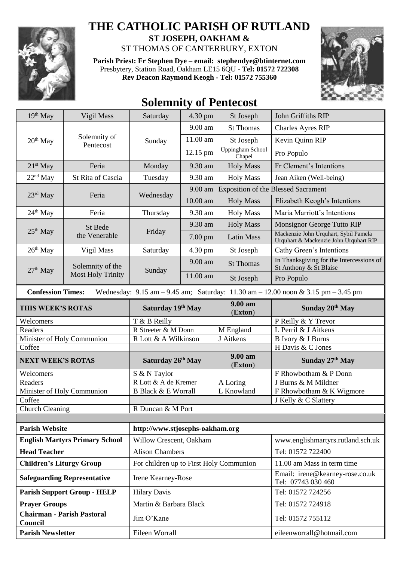

## **THE CATHOLIC PARISH OF RUTLAND**

**ST JOSEPH, OAKHAM &**  ST THOMAS OF CANTERBURY, EXTON

**Parish Priest: Fr Stephen Dye** – **[email: stephendye@btinternet.com](mailto:email:%20%20stephendye@btinternet.com)** Presbytery, Station Road, Oakham LE15 6QU - **Tel: 01572 722308 Rev Deacon Raymond Keogh - Tel: 01572 755360**



## **Solemnity of Pentecost**

| 19th May                                                                                                                                                            | Vigil Mass                                   | Saturday                                | 4.30 pm  | St Joseph                         | John Griffiths RIP                                                              |  |  |
|---------------------------------------------------------------------------------------------------------------------------------------------------------------------|----------------------------------------------|-----------------------------------------|----------|-----------------------------------|---------------------------------------------------------------------------------|--|--|
| 20 <sup>th</sup> May                                                                                                                                                | Solemnity of<br>Pentecost                    | Sunday                                  | 9.00 am  | <b>St Thomas</b>                  | <b>Charles Ayres RIP</b>                                                        |  |  |
|                                                                                                                                                                     |                                              |                                         | 11.00 am | St Joseph                         | Kevin Quinn RIP                                                                 |  |  |
|                                                                                                                                                                     |                                              |                                         | 12.15 pm | <b>Uppingham School</b><br>Chapel | Pro Populo                                                                      |  |  |
| $21st$ May                                                                                                                                                          | Feria                                        | Monday                                  | 9.30 am  | <b>Holy Mass</b>                  | Fr Clement's Intentions                                                         |  |  |
| 22 <sup>nd</sup> May                                                                                                                                                | St Rita of Cascia                            | Tuesday                                 | 9.30 am  | <b>Holy Mass</b>                  | Jean Aiken (Well-being)                                                         |  |  |
| $23rd$ May                                                                                                                                                          | Feria                                        | Wednesday                               | 9.00 am  |                                   | <b>Exposition of the Blessed Sacrament</b>                                      |  |  |
|                                                                                                                                                                     |                                              |                                         | 10.00 am | <b>Holy Mass</b>                  | Elizabeth Keogh's Intentions                                                    |  |  |
| $24th$ May                                                                                                                                                          | Feria                                        | Thursday                                | 9.30 am  | <b>Holy Mass</b>                  | Maria Marriott's Intentions                                                     |  |  |
| $25th$ May                                                                                                                                                          | St Bede<br>the Venerable                     | Friday                                  | 9.30 am  | <b>Holy Mass</b>                  | Monsignor George Tutto RIP                                                      |  |  |
|                                                                                                                                                                     |                                              |                                         | 7.00 pm  | <b>Latin Mass</b>                 | Mackenzie John Urquhart, Sybil Pamela<br>Urquhart & Mackenzie John Urquhart RIP |  |  |
| $26th$ May                                                                                                                                                          | Vigil Mass                                   | Saturday                                | 4.30 pm  | St Joseph                         | Cathy Green's Intentions                                                        |  |  |
| $27th$ May                                                                                                                                                          | Solemnity of the<br><b>Most Holy Trinity</b> | Sunday                                  | 9.00 am  | <b>St Thomas</b>                  | In Thanksgiving for the Intercessions of<br>St Anthony & St Blaise              |  |  |
|                                                                                                                                                                     |                                              |                                         | 11.00 am | St Joseph                         | Pro Populo                                                                      |  |  |
| <b>Confession Times:</b><br>Wednesday: $9.15 \text{ am} - 9.45 \text{ am}$ ; Saturday: $11.30 \text{ am} - 12.00 \text{ noon} \& 3.15 \text{ pm} - 3.45 \text{ pm}$ |                                              |                                         |          |                                   |                                                                                 |  |  |
| THIS WEEK'S ROTAS                                                                                                                                                   |                                              | Saturday 19th May                       |          | 9.00 am<br>(Exton)                | Sunday 20th May                                                                 |  |  |
| Welcomers                                                                                                                                                           |                                              | T & B Reilly                            |          |                                   | P Reilly & Y Trevor                                                             |  |  |
| Readers                                                                                                                                                             |                                              | R Streeter & M Donn                     |          | M England                         | L Perril & J Aitkens                                                            |  |  |
| Minister of Holy Communion                                                                                                                                          |                                              | R Lott & A Wilkinson                    |          | J Aitkens                         | B Ivory & J Burns                                                               |  |  |
| Coffee                                                                                                                                                              |                                              |                                         |          |                                   | H Davis & C Jones                                                               |  |  |
| <b>NEXT WEEK'S ROTAS</b>                                                                                                                                            |                                              | Saturday 26 <sup>th</sup> May           |          | 9.00 am<br>(Exton)                | Sunday 27th May                                                                 |  |  |
| Welcomers                                                                                                                                                           |                                              | S & N Taylor                            |          |                                   | F Rhowbotham & P Donn                                                           |  |  |
| Readers                                                                                                                                                             |                                              | R Lott & A de Kremer                    |          | A Loring                          | J Burns & M Mildner                                                             |  |  |
| Minister of Holy Communion                                                                                                                                          |                                              | <b>B Black &amp; E Worrall</b>          |          | L Knowland                        | F Rhowbotham & K Wigmore                                                        |  |  |
| Coffee                                                                                                                                                              |                                              |                                         |          |                                   | J Kelly & C Slattery                                                            |  |  |
| <b>Church Cleaning</b>                                                                                                                                              |                                              | R Duncan & M Port                       |          |                                   |                                                                                 |  |  |
| <b>Parish Website</b><br>http://www.stjosephs-oakham.org                                                                                                            |                                              |                                         |          |                                   |                                                                                 |  |  |
| <b>English Martyrs Primary School</b>                                                                                                                               |                                              | Willow Crescent, Oakham                 |          |                                   | www.englishmartyrs.rutland.sch.uk                                               |  |  |
| <b>Head Teacher</b>                                                                                                                                                 |                                              | <b>Alison Chambers</b>                  |          |                                   | Tel: 01572 722400                                                               |  |  |
| <b>Children's Liturgy Group</b>                                                                                                                                     |                                              | For children up to First Holy Communion |          |                                   | 11.00 am Mass in term time                                                      |  |  |
| <b>Safeguarding Representative</b>                                                                                                                                  |                                              | Irene Kearney-Rose                      |          |                                   | Email: irene@kearney-rose.co.uk<br>Tel: 07743 030 460                           |  |  |
| <b>Parish Support Group - HELP</b>                                                                                                                                  |                                              | <b>Hilary Davis</b>                     |          |                                   | Tel: 01572 724256                                                               |  |  |
| <b>Prayer Groups</b>                                                                                                                                                |                                              | Martin & Barbara Black                  |          |                                   | Tel: 01572 724918                                                               |  |  |
| Chairman - Parish Pastoral<br>Council                                                                                                                               |                                              | Jim O'Kane                              |          |                                   | Tel: 01572 755112                                                               |  |  |
| <b>Parish Newsletter</b>                                                                                                                                            |                                              | Eileen Worrall                          |          |                                   | eileenworrall@hotmail.com                                                       |  |  |